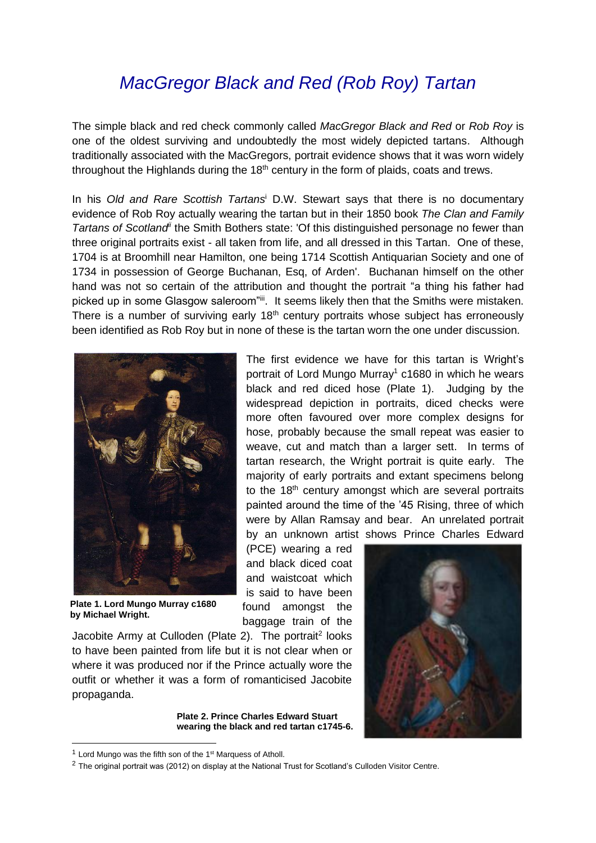## *MacGregor Black and Red (Rob Roy) Tartan*

The simple black and red check commonly called *MacGregor Black and Red* or *Rob Roy* is one of the oldest surviving and undoubtedly the most widely depicted tartans. Although traditionally associated with the MacGregors, portrait evidence shows that it was worn widely throughout the Highlands during the  $18<sup>th</sup>$  century in the form of plaids, coats and trews.

In his *Old and Rare Scottish Tartans*<sup>i</sup> D.W. Stewart says that there is no documentary evidence of Rob Roy actually wearing the tartan but in their 1850 book *The Clan and Family Tartans of Scotlandii* the Smith Bothers state: 'Of this distinguished personage no fewer than three original portraits exist - all taken from life, and all dressed in this Tartan. One of these, 1704 is at Broomhill near Hamilton, one being 1714 Scottish Antiquarian Society and one of 1734 in possession of George Buchanan, Esq, of Arden'. Buchanan himself on the other hand was not so certain of the attribution and thought the portrait "a thing his father had picked up in some Glasgow saleroom"ii. It seems likely then that the Smiths were mistaken. There is a number of surviving early  $18<sup>th</sup>$  century portraits whose subject has erroneously been identified as Rob Roy but in none of these is the tartan worn the one under discussion.



**Plate 1. Lord Mungo Murray c1680 by Michael Wright.**

The first evidence we have for this tartan is Wright's portrait of Lord Mungo Murray<sup>1</sup> c1680 in which he wears black and red diced hose (Plate 1). Judging by the widespread depiction in portraits, diced checks were more often favoured over more complex designs for hose, probably because the small repeat was easier to weave, cut and match than a larger sett. In terms of tartan research, the Wright portrait is quite early. The majority of early portraits and extant specimens belong to the 18<sup>th</sup> century amongst which are several portraits painted around the time of the '45 Rising, three of which were by Allan Ramsay and bear. An unrelated portrait by an unknown artist shows Prince Charles Edward

(PCE) wearing a red and black diced coat and waistcoat which is said to have been found amongst the baggage train of the

Jacobite Army at Culloden (Plate 2). The portrait<sup>2</sup> looks to have been painted from life but it is not clear when or where it was produced nor if the Prince actually wore the outfit or whether it was a form of romanticised Jacobite propaganda.

> **Plate 2. Prince Charles Edward Stuart wearing the black and red tartan c1745-6.**



 $1$  Lord Mungo was the fifth son of the  $1<sup>st</sup>$  Marquess of Atholl.

 $2$  The original portrait was (2012) on display at the National Trust for Scotland's Culloden Visitor Centre.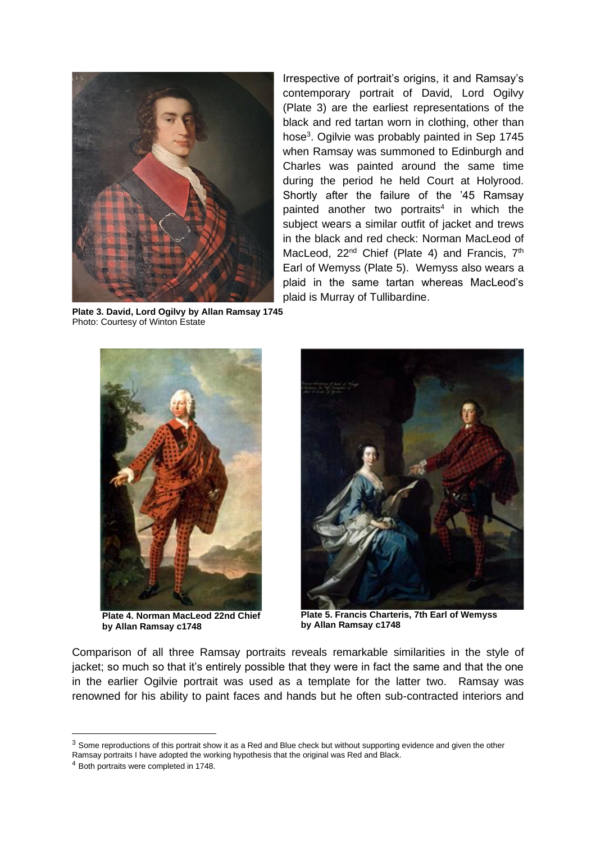

**Plate 3. David, Lord Ogilvy by Allan Ramsay 1745** Photo: Courtesy of Winton Estate

Irrespective of portrait's origins, it and Ramsay's contemporary portrait of David, Lord Ogilvy (Plate 3) are the earliest representations of the black and red tartan worn in clothing, other than hose<sup>3</sup>. Ogilvie was probably painted in Sep 1745 when Ramsay was summoned to Edinburgh and Charles was painted around the same time during the period he held Court at Holyrood. Shortly after the failure of the '45 Ramsay painted another two portraits<sup>4</sup> in which the subject wears a similar outfit of jacket and trews in the black and red check: Norman MacLeod of MacLeod, 22<sup>nd</sup> Chief (Plate 4) and Francis, 7<sup>th</sup> Earl of Wemyss (Plate 5). Wemyss also wears a plaid in the same tartan whereas MacLeod's plaid is Murray of Tullibardine.



 **Plate 4. Norman MacLeod 22nd Chief by Allan Ramsay c1748**



**Plate 5. Francis Charteris, 7th Earl of Wemyss by Allan Ramsay c1748**

Comparison of all three Ramsay portraits reveals remarkable similarities in the style of jacket; so much so that it's entirely possible that they were in fact the same and that the one in the earlier Ogilvie portrait was used as a template for the latter two. Ramsay was renowned for his ability to paint faces and hands but he often sub-contracted interiors and

 $3$  Some reproductions of this portrait show it as a Red and Blue check but without supporting evidence and given the other

Ramsay portraits I have adopted the working hypothesis that the original was Red and Black.

<sup>4</sup> Both portraits were completed in 1748.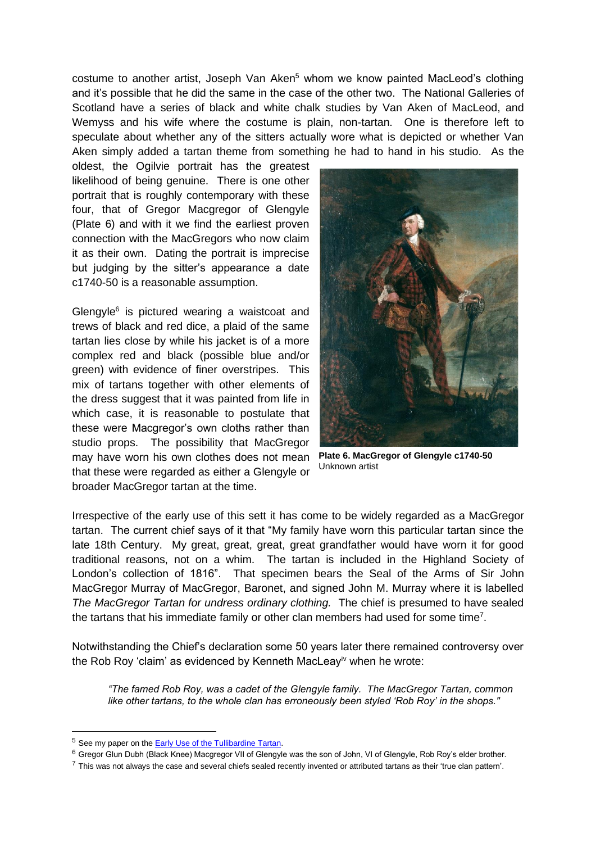costume to another artist, Joseph Van Aken<sup>5</sup> whom we know painted MacLeod's clothing and it's possible that he did the same in the case of the other two. The National Galleries of Scotland have a series of black and white chalk studies by Van Aken of MacLeod, and Wemyss and his wife where the costume is plain, non-tartan. One is therefore left to speculate about whether any of the sitters actually wore what is depicted or whether Van Aken simply added a tartan theme from something he had to hand in his studio. As the

oldest, the Ogilvie portrait has the greatest likelihood of being genuine. There is one other portrait that is roughly contemporary with these four, that of Gregor Macgregor of Glengyle (Plate 6) and with it we find the earliest proven connection with the MacGregors who now claim it as their own. Dating the portrait is imprecise but judging by the sitter's appearance a date c1740-50 is a reasonable assumption.

Glengyle<sup>6</sup> is pictured wearing a waistcoat and trews of black and red dice, a plaid of the same tartan lies close by while his jacket is of a more complex red and black (possible blue and/or green) with evidence of finer overstripes. This mix of tartans together with other elements of the dress suggest that it was painted from life in which case, it is reasonable to postulate that these were Macgregor's own cloths rather than studio props. The possibility that MacGregor may have worn his own clothes does not mean that these were regarded as either a Glengyle or broader MacGregor tartan at the time.



**Plate 6. MacGregor of Glengyle c1740-50** Unknown artist

Irrespective of the early use of this sett it has come to be widely regarded as a MacGregor tartan. The current chief says of it that "My family have worn this particular tartan since the late 18th Century. My great, great, great, great grandfather would have worn it for good traditional reasons, not on a whim. The tartan is included in the Highland Society of London's collection of 1816". That specimen bears the Seal of the Arms of Sir John MacGregor Murray of MacGregor, Baronet, and signed John M. Murray where it is labelled *The MacGregor Tartan for undress ordinary clothing.* The chief is presumed to have sealed the tartans that his immediate family or other clan members had used for some time<sup>7</sup>.

Notwithstanding the Chief's declaration some 50 years later there remained controversy over the Rob Roy 'claim' as evidenced by Kenneth MacLeay<sup>iv</sup> when he wrote:

*"The famed Rob Roy, was a cadet of the Glengyle family. The MacGregor Tartan, common like other tartans, to the whole clan has erroneously been styled 'Rob Roy' in the shops."*

<sup>&</sup>lt;sup>5</sup> See my paper on the **Early Use of the Tullibardine Tartan**.

<sup>&</sup>lt;sup>6</sup> Gregor Glun Dubh (Black Knee) Macgregor VII of Glengyle was the son of John, VI of Glengyle, Rob Roy's elder brother.

 $^7$  This was not always the case and several chiefs sealed recently invented or attributed tartans as their 'true clan pattern'.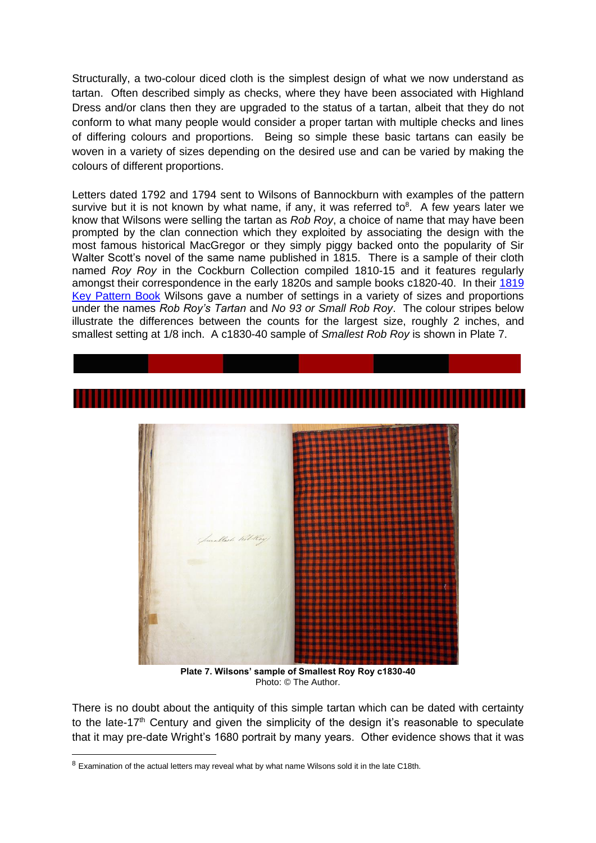Structurally, a two-colour diced cloth is the simplest design of what we now understand as tartan. Often described simply as checks, where they have been associated with Highland Dress and/or clans then they are upgraded to the status of a tartan, albeit that they do not conform to what many people would consider a proper tartan with multiple checks and lines of differing colours and proportions. Being so simple these basic tartans can easily be woven in a variety of sizes depending on the desired use and can be varied by making the colours of different proportions.

Letters dated 1792 and 1794 sent to Wilsons of Bannockburn with examples of the pattern survive but it is not known by what name, if any, it was referred to $8$ . A few years later we know that Wilsons were selling the tartan as *Rob Roy*, a choice of name that may have been prompted by the clan connection which they exploited by associating the design with the most famous historical MacGregor or they simply piggy backed onto the popularity of Sir Walter Scott's novel of the same name published in 1815. There is a sample of their cloth named *Roy Roy* in the Cockburn Collection compiled 1810-15 and it features regularly amongst their correspondence in the early 1820s and sample books c1820-40. In their [1819](http://www.scottishtartans.co.uk/1819.htm)  [Key Pattern Book](http://www.scottishtartans.co.uk/1819.htm) Wilsons gave a number of settings in a variety of sizes and proportions under the names *Rob Roy's Tartan* and *No 93 or Small Rob Roy*. The colour stripes below illustrate the differences between the counts for the largest size, roughly 2 inches, and smallest setting at 1/8 inch. A c1830-40 sample of *Smallest Rob Roy* is shown in Plate 7.



**Plate 7. Wilsons' sample of Smallest Roy Roy c1830-40** Photo: © The Author.

There is no doubt about the antiquity of this simple tartan which can be dated with certainty to the late-17<sup>th</sup> Century and given the simplicity of the design it's reasonable to speculate that it may pre-date Wright's 1680 portrait by many years. Other evidence shows that it was

<sup>&</sup>lt;sup>8</sup> Examination of the actual letters may reveal what by what name Wilsons sold it in the late C18th.